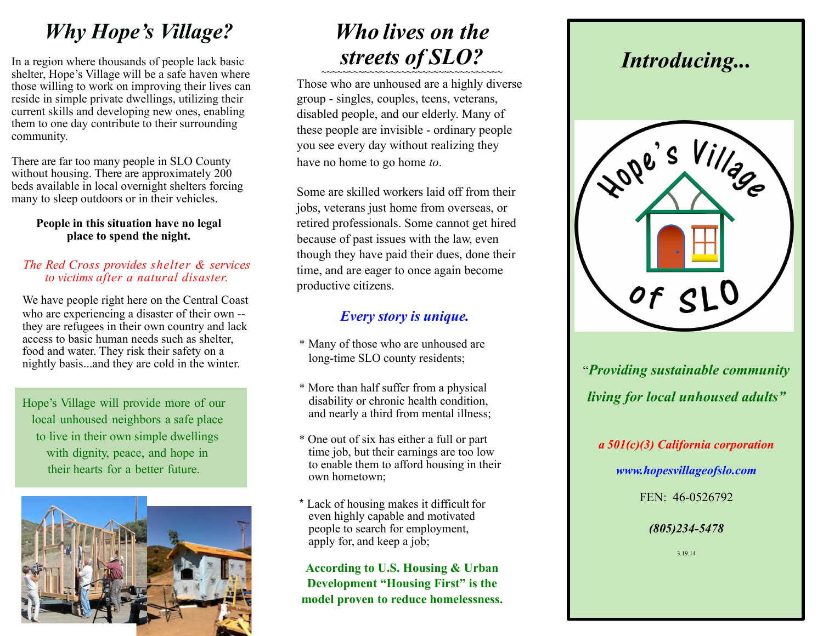# *Why Hope's Village?*

In a region where thousands of people lack basic shelter, Hope's Village will be a safe haven where those willing to work on improving their lives can reside in simple private dwellings, utilizing their current skills and developing new ones, enabling them to one day contribute to their surrounding community.

There are far too many people in SLO County without housing. There are approximately 200 beds available in local overnight shelters forcing many to sleep outdoors or in their vehicles.

### **People in this situation have no legal place to spend the night.**

### *The Red Cross provides shelter & services to victims after a natural disaster.*

We have people right here on the Central Coast who are experiencing a disaster of their own - they are refugees in their own country and lack access to basic human needs such as shelter, food and water. They risk their safety on a nightly basis...and they are cold in the winter.

Hope's Village will provide more of our local unhoused neighbors a safe place to live in their own simple dwellings with dignity, peace, and hope in their hearts for a better future.



# *Who lives on the streets of SLO? ~~~~~~~~~~~~~~~~~~~~~~~~~~~~~~~~~~*

Those who are unhoused are a highly diverse group - singles, couples, teens, veterans, disabled people, and our elderly. Many of these people are invisible - ordinary people you see every day without realizing they have no home to go home *to*.

Some are skilled workers laid off from their jobs, veterans just home from overseas, or retired professionals. Some cannot get hired because of past issues with the law, even though they have paid their dues, done their time, and are eager to once again become productive citizens.

## *Every story is unique.*

- \* Many of those who are unhoused are long-time SLO county residents;
- \* More than half suffer from a physical disability or chronic health condition, and nearly a third from mental illness;
- \* One out of six has either a full or part time job, but their earnings are too low to enable them to afford housing in their own hometown;
- \* Lack of housing makes it difficult for even highly capable and motivated people to search for employment, apply for, and keep a job;

**According to U.S. Housing & Urban Development "Housing First" is the model proven to reduce homelessness.**

## *Introducing...*



"*Providing sustainable community living for local unhoused adults"*

*a 501(c)(3) California corporation*

*[www.hopesvillageofslo.com](http://www.hopesvillageofslo.com/)*

FEN: 46-0526792

## *(805)234-5478*

3.19.14